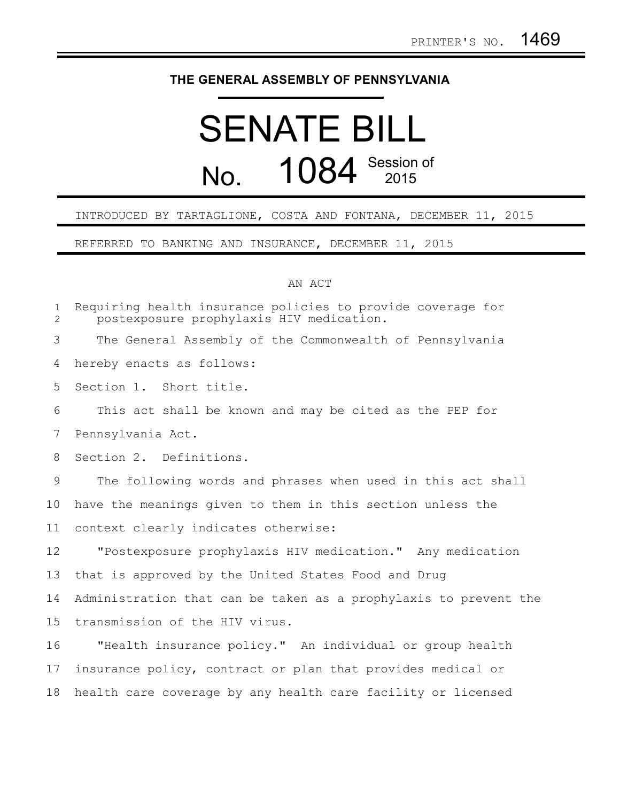## **THE GENERAL ASSEMBLY OF PENNSYLVANIA**

## SENATE BILL No. 1084 Session of

## INTRODUCED BY TARTAGLIONE, COSTA AND FONTANA, DECEMBER 11, 2015

REFERRED TO BANKING AND INSURANCE, DECEMBER 11, 2015

## AN ACT

| $\mathbf{1}$<br>$\overline{2}$ | Requiring health insurance policies to provide coverage for<br>postexposure prophylaxis HIV medication. |
|--------------------------------|---------------------------------------------------------------------------------------------------------|
| 3                              | The General Assembly of the Commonwealth of Pennsylvania                                                |
| 4                              | hereby enacts as follows:                                                                               |
| 5                              | Section 1. Short title.                                                                                 |
| 6                              | This act shall be known and may be cited as the PEP for                                                 |
| 7                              | Pennsylvania Act.                                                                                       |
| 8                              | Section 2. Definitions.                                                                                 |
| 9                              | The following words and phrases when used in this act shall                                             |
| 10                             | have the meanings given to them in this section unless the                                              |
| 11                             | context clearly indicates otherwise:                                                                    |
| 12                             | "Postexposure prophylaxis HIV medication." Any medication                                               |
| 13                             | that is approved by the United States Food and Drug                                                     |
| 14                             | Administration that can be taken as a prophylaxis to prevent the                                        |
| 15                             | transmission of the HIV virus.                                                                          |
| 16                             | "Health insurance policy." An individual or group health                                                |
| 17                             | insurance policy, contract or plan that provides medical or                                             |
| 18                             | health care coverage by any health care facility or licensed                                            |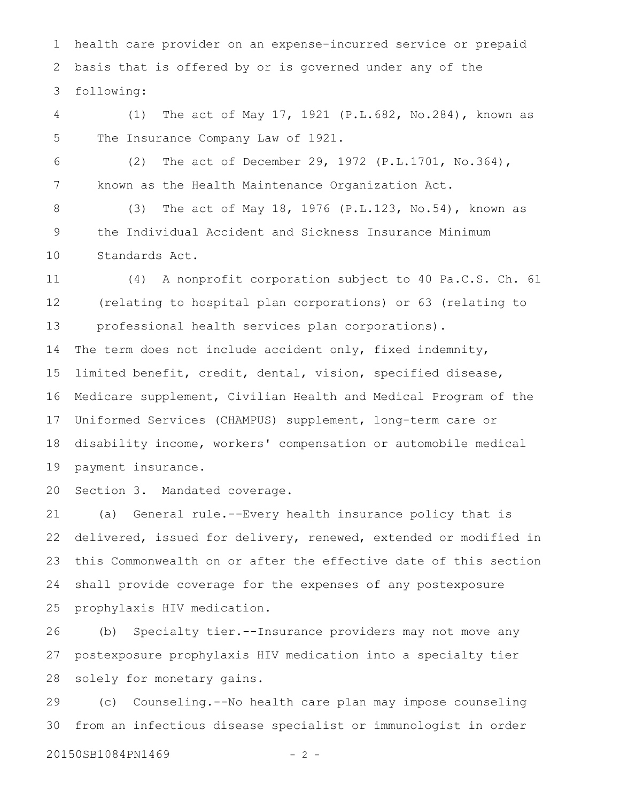health care provider on an expense-incurred service or prepaid basis that is offered by or is governed under any of the following: 1 2 3

(1) The act of May 17, 1921 (P.L.682, No.284), known as The Insurance Company Law of 1921. 4 5

6

7

(2) The act of December 29, 1972 (P.L.1701, No.364), known as the Health Maintenance Organization Act.

(3) The act of May 18, 1976 (P.L.123, No.54), known as the Individual Accident and Sickness Insurance Minimum Standards Act. 8 9 10

(4) A nonprofit corporation subject to 40 Pa.C.S. Ch. 61 (relating to hospital plan corporations) or 63 (relating to professional health services plan corporations). 11 12 13

The term does not include accident only, fixed indemnity, limited benefit, credit, dental, vision, specified disease, Medicare supplement, Civilian Health and Medical Program of the Uniformed Services (CHAMPUS) supplement, long-term care or disability income, workers' compensation or automobile medical payment insurance. 14 15 16 17 18 19

Section 3. Mandated coverage. 20

(a) General rule.--Every health insurance policy that is delivered, issued for delivery, renewed, extended or modified in this Commonwealth on or after the effective date of this section shall provide coverage for the expenses of any postexposure prophylaxis HIV medication. 21 22 23 24 25

(b) Specialty tier.--Insurance providers may not move any postexposure prophylaxis HIV medication into a specialty tier solely for monetary gains. 26 27 28

(c) Counseling.--No health care plan may impose counseling from an infectious disease specialist or immunologist in order 29 30

20150SB1084PN1469 - 2 -